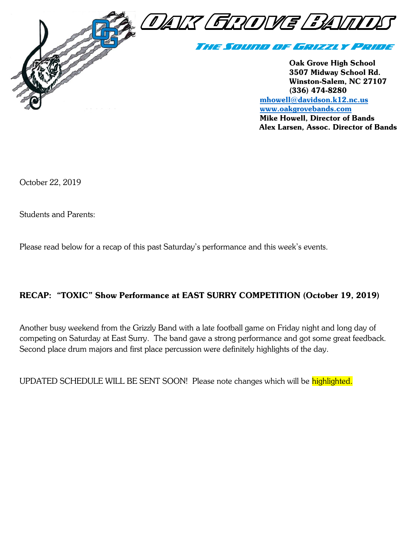

[www.oakgrovebands.com](http://www.oakgrovebands.com/) Mike Howell, Director of Bands Alex Larsen, Assoc. Director of Bands

October 22, 2019

Students and Parents:

Please read below for a recap of this past Saturday's performance and this week's events.

#### RECAP: "TOXIC" Show Performance at EAST SURRY COMPETITION (October 19, 2019)

Another busy weekend from the Grizzly Band with a late football game on Friday night and long day of competing on Saturday at East Surry. The band gave a strong performance and got some great feedback. Second place drum majors and first place percussion were definitely highlights of the day.

UPDATED SCHEDULE WILL BE SENT SOON! Please note changes which will be highlighted.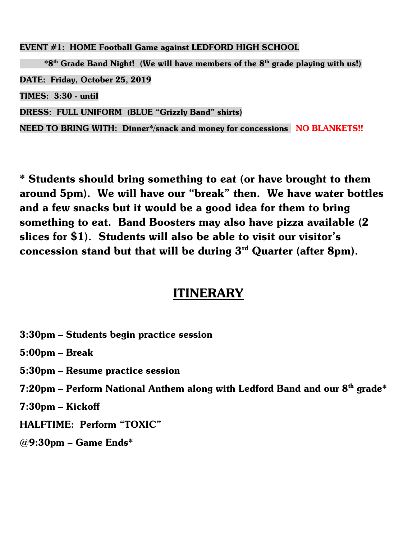EVENT #1: HOME Football Game against LEDFORD HIGH SCHOOL

 $*8<sup>th</sup>$  Grade Band Night! (We will have members of the  $8<sup>th</sup>$  grade playing with us!) DATE: Friday, October 25, 2019 TIMES: 3:30 - until DRESS: FULL UNIFORM (BLUE "Grizzly Band" shirts) NEED TO BRING WITH: Dinner\*/snack and money for concessions NO BLANKETS!!

\* Students should bring something to eat (or have brought to them around 5pm). We will have our "break" then. We have water bottles and a few snacks but it would be a good idea for them to bring something to eat. Band Boosters may also have pizza available (2 slices for \$1). Students will also be able to visit our visitor's concession stand but that will be during  $3<sup>rd</sup>$  Quarter (after 8pm).

### ITINERARY

- 3:30pm Students begin practice session
- 5:00pm Break
- 5:30pm Resume practice session
- 7:20pm Perform National Anthem along with Ledford Band and our  $8<sup>th</sup>$  grade\*
- 7:30pm Kickoff
- HALFTIME: Perform "TOXIC"
- $@9:30$ pm Game Ends\*